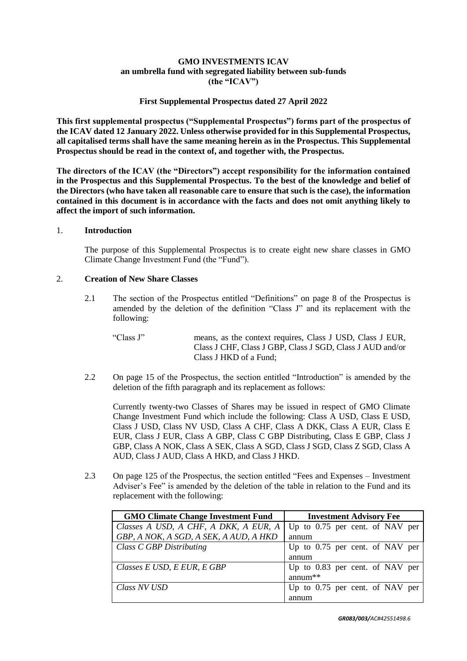# **GMO INVESTMENTS ICAV an umbrella fund with segregated liability between sub-funds (the "ICAV")**

### **First Supplemental Prospectus dated 27 April 2022**

**This first supplemental prospectus ("Supplemental Prospectus") forms part of the prospectus of the ICAV dated 12 January 2022. Unless otherwise provided for in this Supplemental Prospectus, all capitalised terms shall have the same meaning herein as in the Prospectus. This Supplemental Prospectus should be read in the context of, and together with, the Prospectus.** 

**The directors of the ICAV (the "Directors") accept responsibility for the information contained in the Prospectus and this Supplemental Prospectus. To the best of the knowledge and belief of the Directors (who have taken all reasonable care to ensure that such is the case), the information contained in this document is in accordance with the facts and does not omit anything likely to affect the import of such information.**

#### 1. **Introduction**

The purpose of this Supplemental Prospectus is to create eight new share classes in GMO Climate Change Investment Fund (the "Fund").

## 2. **Creation of New Share Classes**

- 2.1 The section of the Prospectus entitled "Definitions" on page 8 of the Prospectus is amended by the deletion of the definition "Class J" and its replacement with the following:
	- "Class J" means, as the context requires, Class J USD, Class J EUR, Class J CHF, Class J GBP, Class J SGD, Class J AUD and/or Class J HKD of a Fund;
- 2.2 On page 15 of the Prospectus, the section entitled "Introduction" is amended by the deletion of the fifth paragraph and its replacement as follows:

Currently twenty-two Classes of Shares may be issued in respect of GMO Climate Change Investment Fund which include the following: Class A USD, Class E USD, Class J USD, Class NV USD, Class A CHF, Class A DKK, Class A EUR, Class E EUR, Class J EUR, Class A GBP, Class C GBP Distributing, Class E GBP, Class J GBP, Class A NOK, Class A SEK, Class A SGD, Class J SGD, Class Z SGD, Class A AUD, Class J AUD, Class A HKD, and Class J HKD.

2.3 On page 125 of the Prospectus, the section entitled "Fees and Expenses – Investment Adviser's Fee" is amended by the deletion of the table in relation to the Fund and its replacement with the following:

| <b>GMO Climate Change Investment Fund</b> | <b>Investment Advisory Fee</b>    |
|-------------------------------------------|-----------------------------------|
| Classes A USD, A CHF, A DKK, A EUR, A     | Up to $0.75$ per cent. of NAV per |
| GBP, A NOK, A SGD, A SEK, A AUD, A HKD    | annum                             |
| Class C GBP Distributing                  | Up to 0.75 per cent. of NAV per   |
|                                           | annum                             |
| Classes E USD, E EUR, E GBP               | Up to 0.83 per cent. of NAV per   |
|                                           | annum <sup>**</sup>               |
| Class NV USD                              | Up to 0.75 per cent. of NAV per   |
|                                           | annum                             |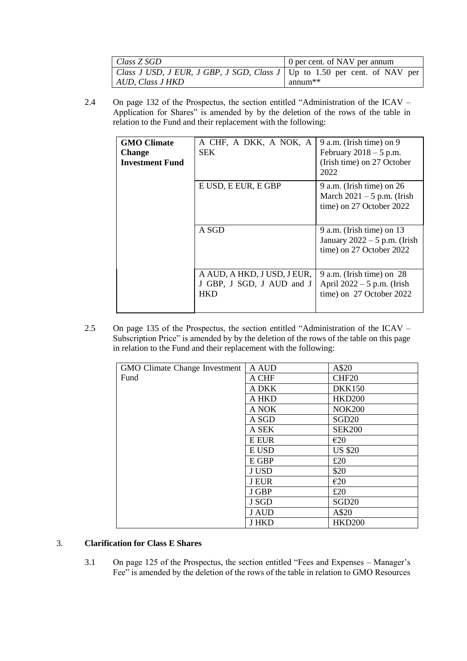| Class Z SGD                                                                   | 0 per cent. of NAV per annum     |
|-------------------------------------------------------------------------------|----------------------------------|
| Class J USD, J EUR, J GBP, J SGD, Class $J$   Up to 1.50 per cent. of NAV per |                                  |
| AUD, Class J HKD                                                              | annum <sup><math>**</math></sup> |

2.4 On page 132 of the Prospectus, the section entitled "Administration of the ICAV – Application for Shares" is amended by by the deletion of the rows of the table in relation to the Fund and their replacement with the following:

| <b>GMO Climate</b><br><b>Change</b><br><b>Investment Fund</b> | A CHF, A DKK, A NOK, A<br><b>SEK</b>                                   | 9 a.m. (Irish time) on 9<br>February $2018 - 5$ p.m.<br>(Irish time) on 27 October<br>2022 |
|---------------------------------------------------------------|------------------------------------------------------------------------|--------------------------------------------------------------------------------------------|
|                                                               | E USD, E EUR, E GBP                                                    | $9$ a.m. (Irish time) on 26<br>March $2021 - 5$ p.m. (Irish<br>time) on 27 October 2022    |
|                                                               | A SGD                                                                  | $9$ a.m. (Irish time) on 13<br>January $2022 - 5$ p.m. (Irish<br>time) on 27 October 2022  |
|                                                               | A AUD, A HKD, J USD, J EUR,<br>J GBP, J SGD, J AUD and J<br><b>HKD</b> | 9 a.m. (Irish time) on $28$<br>April $2022 - 5$ p.m. (Irish<br>time) on 27 October 2022    |

2.5 On page 135 of the Prospectus, the section entitled "Administration of the ICAV – Subscription Price" is amended by by the deletion of the rows of the table on this page in relation to the Fund and their replacement with the following:

| <b>GMO Climate Change Investment</b> | A AUD        | A\$20             |
|--------------------------------------|--------------|-------------------|
| Fund                                 | A CHF        | CHF <sub>20</sub> |
|                                      | A DKK        | <b>DKK150</b>     |
|                                      | A HKD        | <b>HKD200</b>     |
|                                      | A NOK        | <b>NOK200</b>     |
|                                      | A SGD        | SGD <sub>20</sub> |
|                                      | A SEK        | <b>SEK200</b>     |
|                                      | E EUR        | E20               |
|                                      | E USD        | <b>US \$20</b>    |
|                                      | E GBP        | £20               |
|                                      | J USD        | \$20              |
|                                      | <b>J EUR</b> | E20               |
|                                      | J GBP        | £20               |
|                                      | J SGD        | SGD <sub>20</sub> |
|                                      | <b>J AUD</b> | A\$20             |
|                                      | <b>J HKD</b> | <b>HKD200</b>     |

## 3. **Clarification for Class E Shares**

3.1 On page 125 of the Prospectus, the section entitled "Fees and Expenses – Manager's Fee" is amended by the deletion of the rows of the table in relation to GMO Resources